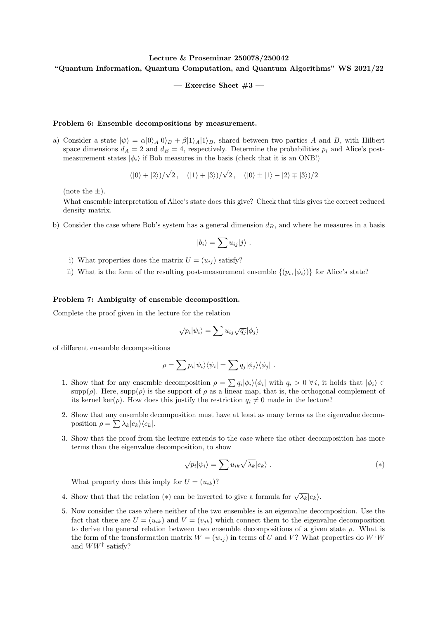## Lecture & Proseminar 250078/250042 "Quantum Information, Quantum Computation, and Quantum Algorithms" WS 2021/22

 $-$  Exercise Sheet  $#3 -$ 

## Problem 6: Ensemble decompositions by measurement.

a) Consider a state  $|\psi\rangle = \alpha |0\rangle_A |0\rangle_B + \beta |1\rangle_A |1\rangle_B$ , shared between two parties A and B, with Hilbert space dimensions  $d_A = 2$  and  $d_B = 4$ , respectively. Determine the probabilities  $p_i$  and Alice's postmeasurement states  $|\phi_i\rangle$  if Bob measures in the basis (check that it is an ONB!)

$$
(|0\rangle + |2\rangle)/\sqrt{2}, \quad (|1\rangle + |3\rangle)/\sqrt{2}, \quad (|0\rangle \pm |1\rangle - |2\rangle \mp |3\rangle)/2
$$

(note the  $\pm$ ).

What ensemble interpretation of Alice's state does this give? Check that this gives the correct reduced density matrix.

b) Consider the case where Bob's system has a general dimension  $d_B$ , and where he measures in a basis

$$
|b_i\rangle = \sum u_{ij}|j\rangle .
$$

- i) What properties does the matrix  $U = (u_{ij})$  satisfy?
- ii) What is the form of the resulting post-measurement ensemble  $\{(p_i, |\phi_i\rangle)\}\)$  for Alice's state?

## Problem 7: Ambiguity of ensemble decomposition.

Complete the proof given in the lecture for the relation

$$
\sqrt{p_i}|\psi_i\rangle = \sum u_{ij}\sqrt{q_j}|\phi_j\rangle
$$

of different ensemble decompositions

$$
\rho = \sum p_i |\psi_i\rangle\langle\psi_i| = \sum q_j |\phi_j\rangle\langle\phi_j|.
$$

- 1. Show that for any ensemble decomposition  $\rho = \sum q_i |\phi_i\rangle\langle\phi_i|$  with  $q_i > 0 \ \forall i$ , it holds that  $|\phi_i\rangle \in$ supp $(\rho)$ . Here, supp $(\rho)$  is the support of  $\rho$  as a linear map, that is, the orthogonal complement of its kernel ker( $\rho$ ). How does this justify the restriction  $q_i \neq 0$  made in the lecture?
- 2. Show that any ensemble decomposition must have at least as many terms as the eigenvalue decomposition  $\rho = \sum \lambda_k |e_k\rangle\langle e_k|$ .
- 3. Show that the proof from the lecture extends to the case where the other decomposition has more terms than the eigenvalue decomposition, to show

$$
\sqrt{p_i}|\psi_i\rangle = \sum u_{ik}\sqrt{\lambda_k}|e_k\rangle . \qquad (*)
$$

What property does this imply for  $U = (u_{ik})$ ?

- 4. Show that that the relation (\*) can be inverted to give a formula for  $\sqrt{\lambda_k} |e_k\rangle$ .
- 5. Now consider the case where neither of the two ensembles is an eigenvalue decomposition. Use the fact that there are  $U = (u_{ik})$  and  $V = (v_{ik})$  which connect them to the eigenvalue decomposition to derive the general relation between two ensemble decompositions of a given state  $\rho$ . What is the form of the transformation matrix  $W = (w_{ij})$  in terms of U and V? What properties do  $W^{\dagger}W$ and  $WW^{\dagger}$  satisfy?